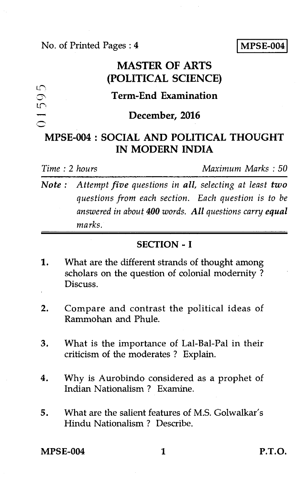No. of Printed Pages : 4 **IMPSE-004** 

# **MASTER OF ARTS (POLITICAL SCIENCE)**

# **Term-End Examination**

#### **December, 2016**

# **MPSE-004 : SOCIAL AND POLITICAL THOUGHT IN MODERN INDIA**

L.Cm.

LIN •••••■<sup>1</sup>

*Time : 2 hours Maximum Marks : 50* 

*Note : Attempt five questions in all, selecting at least two questions from each section. Each question is to be answered in about 400 words. All questions carry equal marks.* 

### **SECTION - I**

- 1. What are the different strands of thought among scholars on the question of colonial modernity ? Discuss.
- 2. Compare and contrast the political ideas of Rammohan and Phule.
- 3. What is the importance of Lal-Bal-Pal in their criticism of the moderates ? Explain.
- 4. Why is Aurobindo considered as a prophet of Indian Nationalism ? Examine.
- 5. What are the salient features of M.S. Golwalkar's Hindu Nationalism ? Describe.

**MPSE-004 1 P.T.O.**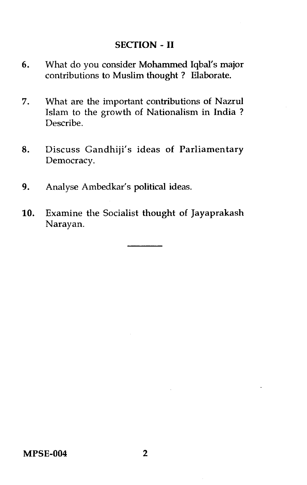## SECTION - II

- 6. What do you consider Mohammed Iqbal's major contributions to Muslim thought ? Elaborate.
- 7. What are the important contributions of Nazrul Islam to the growth of Nationalism in India ? Describe.
- 8. Discuss Gandhiji's ideas of Parliamentary Democracy.
- 9. Analyse Ambedkar's political ideas.
- 10. Examine the Socialist thought of Jayaprakash Narayan.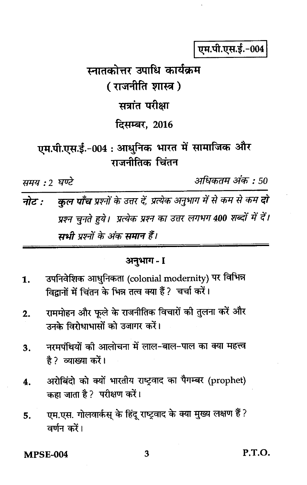एम.पी.एस.ई.-004

अधिकतम अंक : 50

स्नातकोत्तर उपाधि कार्यक्रम ( राजनीति शास्त्र ) सत्रांत परीक्षा **दिसम्बर, 2016** 

एम.पी.एस.ई.-004 : आधुनिक भारत में सामाजिक और गजनीतिक चिंतन

समय : २ घण्टे

कुल पाँच प्रश्नों के उत्तर दें, प्रत्येक अनुभाग में से कम से कम दो नोट : प्रश्न चुनते हुये। प्रत्येक प्रश्न का उत्तर लगभग 400 शब्दों में दें। यभी पश्नों के अंक समान हैं।

# अनुभाग - I

- उपनिवेशिक आधुनिकता (colonial modernity) पर विभिन्न 1. विद्रानों में चिंतन के भिन्न तत्व क्या हैं ? चर्चा करें।
- राममोहन और फुले के राजनीतिक विचारों की तुलना करें और  $2.$ उनके विरोधाभासों को उजागर करें।
- नरमपंथियों की आलोचना में लाल-बाल-पाल का क्या महत्त्व  $\overline{\mathbf{3}}$ . है ?व्याख्या करें।
- अरोबिंदो को क्यों भारतीय राष्ट्रवाद का पैगम्बर (prophet) 4. कहा जाता है ? परीक्षण करें।
- एम.एस. गोलवार्कस् के हिंदू राष्ट्रवाद के क्या मुख्य लक्षण हैं ? 5. वर्णन करें।

**MPSE-004**